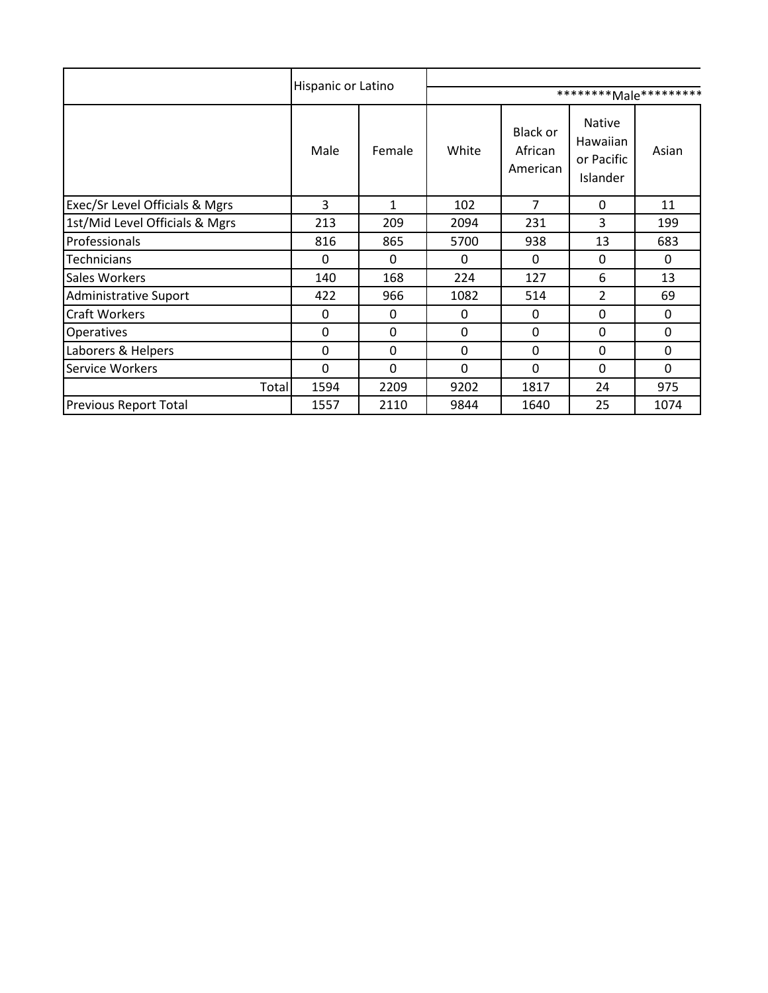|                                           | Hispanic or Latino |          |       |                                 |                                              |              |  |
|-------------------------------------------|--------------------|----------|-------|---------------------------------|----------------------------------------------|--------------|--|
|                                           |                    |          |       |                                 | ********Male**********                       |              |  |
|                                           | Male               | Female   | White | Black or<br>African<br>American | Native<br>Hawaiian<br>or Pacific<br>Islander | Asian        |  |
| <b>Exec/Sr Level Officials &amp; Mgrs</b> | 3                  | 1        | 102   | $\overline{7}$                  | 0                                            | 11           |  |
| 1st/Mid Level Officials & Mgrs            | 213                | 209      | 2094  | 231                             | 3                                            | 199          |  |
| Professionals                             | 816                | 865      | 5700  | 938                             | 13                                           | 683          |  |
| Technicians                               | 0                  | $\Omega$ | 0     | $\mathbf{0}$                    | 0                                            | $\mathbf{0}$ |  |
| <b>Sales Workers</b>                      | 140                | 168      | 224   | 127                             | 6                                            | 13           |  |
| Administrative Suport                     | 422                | 966      | 1082  | 514                             | $\overline{2}$                               | 69           |  |
| <b>Craft Workers</b>                      | 0                  | 0        | 0     | 0                               | 0                                            | 0            |  |
| <b>Operatives</b>                         | 0                  | 0        | 0     | 0                               | 0                                            | 0            |  |
| Laborers & Helpers                        | 0                  | 0        | 0     | 0                               | 0                                            | 0            |  |
| Service Workers                           | 0                  | $\Omega$ | 0     | 0                               | 0                                            | $\mathbf{0}$ |  |
| Total                                     | 1594               | 2209     | 9202  | 1817                            | 24                                           | 975          |  |
| <b>Previous Report Total</b>              | 1557               | 2110     | 9844  | 1640                            | 25                                           | 1074         |  |